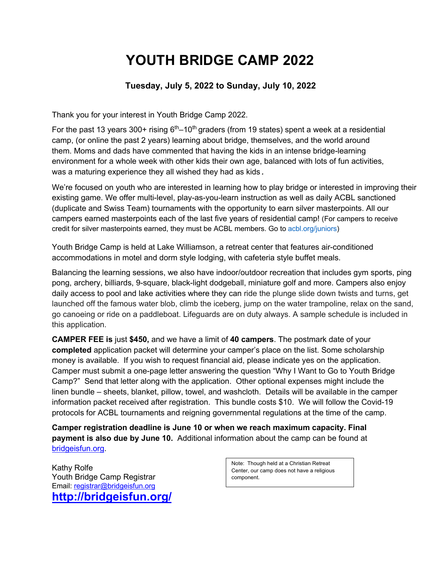# **YOUTH BRIDGE CAMP 2022**

#### **Tuesday, July 5, 2022 to Sunday, July 10, 2022**

Thank you for your interest in Youth Bridge Camp 2022.

For the past 13 years 300+ rising  $6<sup>th</sup>$ –10<sup>th</sup> graders (from 19 states) spent a week at a residential camp, (or online the past 2 years) learning about bridge, themselves, and the world around them. Moms and dads have commented that having the kids in an intense bridge-learning environment for a whole week with other kids their own age, balanced with lots of fun activities, was a maturing experience they all wished they had as kids*.* 

We're focused on youth who are interested in learning how to play bridge or interested in improving their existing game. We offer multi-level, play-as-you-learn instruction as well as daily ACBL sanctioned (duplicate and Swiss Team) tournaments with the opportunity to earn silver masterpoints. All our campers earned masterpoints each of the last five years of residential camp! (For campers to receive credit for silver masterpoints earned, they must be ACBL members. Go to acbl.org/juniors)

Youth Bridge Camp is held at Lake Williamson, a retreat center that features air-conditioned accommodations in motel and dorm style lodging, with cafeteria style buffet meals.

Balancing the learning sessions, we also have indoor/outdoor recreation that includes gym sports, ping pong, archery, billiards, 9-square, black-light dodgeball, miniature golf and more. Campers also enjoy daily access to pool and lake activities where they can ride the plunge slide down twists and turns, get launched off the famous water blob, climb the iceberg, jump on the water trampoline, relax on the sand, go canoeing or ride on a paddleboat. Lifeguards are on duty always. A sample schedule is included in this application.

**CAMPER FEE is** just **\$450,** and we have a limit of **40 campers**. The postmark date of your **completed** application packet will determine your camper's place on the list. Some scholarship money is available. If you wish to request financial aid, please indicate yes on the application. Camper must submit a one-page letter answering the question "Why I Want to Go to Youth Bridge Camp?" Send that letter along with the application. Other optional expenses might include the linen bundle – sheets, blanket, pillow, towel, and washcloth. Details will be available in the camper information packet received after registration. This bundle costs \$10. We will follow the Covid-19 protocols for ACBL tournaments and reigning governmental regulations at the time of the camp.

**Camper registration deadline is June 10 or when we reach maximum capacity. Final payment is also due by June 10.** Additional information about the camp can be found at bridgeisfun.org.

Kathy Rolfe Youth Bridge Camp Registrar Email: registrar@bridgeisfun.org **http://bridgeisfun.org/** Note: Though held at a Christian Retreat Center, our camp does not have a religious component.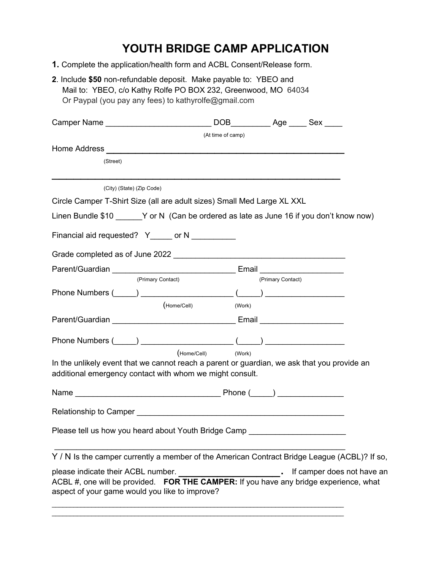## **YOUTH BRIDGE CAMP APPLICATION**

- **1.** Complete the application/health form and ACBL Consent/Release form.
- **2**. Include **\$50** non-refundable deposit. Make payable to: YBEO and Mail to: YBEO, c/o Kathy Rolfe PO BOX 232, Greenwood, MO 64034 Or Paypal (you pay any fees) to kathyrolfe@gmail.com

| Camper Name Manner Camper Name                                                                                                                                                                                                     | DOB Age Sex        |                   |                            |
|------------------------------------------------------------------------------------------------------------------------------------------------------------------------------------------------------------------------------------|--------------------|-------------------|----------------------------|
|                                                                                                                                                                                                                                    | (At time of camp)  |                   |                            |
| Home Address <b>Example 2018 Contract and Contract and Contract and Contract and Contract and Contract and Contract and Contract and Contract and Contract and Contract and Contract and Contract and Contract and Contract an</b> |                    |                   |                            |
| (Street)                                                                                                                                                                                                                           |                    |                   |                            |
| (City) (State) (Zip Code)                                                                                                                                                                                                          |                    |                   |                            |
| Circle Camper T-Shirt Size (all are adult sizes) Small Med Large XL XXL                                                                                                                                                            |                    |                   |                            |
| Linen Bundle $$10 \quad Y$ or N (Can be ordered as late as June 16 if you don't know now)                                                                                                                                          |                    |                   |                            |
| Financial aid requested? Y_____ or N __________                                                                                                                                                                                    |                    |                   |                            |
|                                                                                                                                                                                                                                    |                    |                   |                            |
|                                                                                                                                                                                                                                    |                    |                   |                            |
| (Primary Contact)                                                                                                                                                                                                                  |                    | (Primary Contact) |                            |
|                                                                                                                                                                                                                                    |                    |                   |                            |
| (Home/Cell)                                                                                                                                                                                                                        | (Work)             |                   |                            |
|                                                                                                                                                                                                                                    |                    |                   |                            |
|                                                                                                                                                                                                                                    |                    |                   |                            |
|                                                                                                                                                                                                                                    | (Home/Cell) (Work) |                   |                            |
| In the unlikely event that we cannot reach a parent or guardian, we ask that you provide an<br>additional emergency contact with whom we might consult.                                                                            |                    |                   |                            |
|                                                                                                                                                                                                                                    |                    |                   |                            |
|                                                                                                                                                                                                                                    |                    |                   |                            |
| Please tell us how you heard about Youth Bridge Camp ___________________________                                                                                                                                                   |                    |                   |                            |
| Y / N Is the camper currently a member of the American Contract Bridge League (ACBL)? If so,                                                                                                                                       |                    |                   |                            |
| please indicate their ACBL number.<br>ACBL #, one will be provided. FOR THE CAMPER: If you have any bridge experience, what<br>aspect of your game would you like to improve?                                                      |                    |                   | If camper does not have an |
|                                                                                                                                                                                                                                    |                    |                   |                            |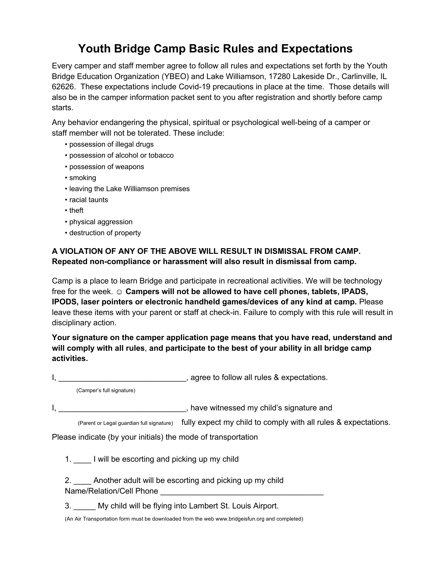## **Youth Bridge Camp Basic Rules and Expectations**

Every camper and staff member agree to follow all rules and expectations set forth by the Youth Bridge Education Organization (YBEO) and Lake Williamson, 17280 Lakeside Dr., Carlinville, IL 62626. These expectations include Covid-19 precautions in place at the time. Those details will also be in the camper information packet sent to you after registration and shortly before camp starts.

Any behavior endangering the physical, spiritual or psychological well-being of a camper or staff member will not be tolerated. These include:

- possession of illegal drugs
- possession of alcohol or tobacco
- possession of weapons
- smoking
- leaving the Lake Williamson premises
- racial taunts
- theft
- physical aggression
- destruction of property

#### **A VIOLATION OF ANY OF THE ABOVE WILL RESULT IN DISMISSAL FROM CAMP. Repeated non-compliance or harassment will also result in dismissal from camp.**

Camp is a place to learn Bridge and participate in recreational activities. We will be technology free for the week. ☺ **Campers will not be allowed to have cell phones, tablets, IPADS, IPODS, laser pointers or electronic handheld games/devices of any kind at camp.** Please leave these items with your parent or staff at check-in. Failure to comply with this rule will result in disciplinary action.

**Your signature on the camper application page means that you have read, understand and will comply with all rules**, **and participate to the best of your ability in all bridge camp activities.** 

I, \_\_\_\_\_\_\_\_\_\_\_\_\_\_\_\_\_\_\_\_\_\_\_\_\_\_\_\_\_\_\_\_\_, agree to follow all rules & expectations.

(Camper's full signature)

I, **I**, **E** EXECUTE THE STATE STATE SIGNAL STATE SIGNAL SIGNATURE AND **I**, have witnessed my child's signature and

(Parent or Legal guardian full signature) fully expect my child to comply with all rules & expectations.

Please indicate (by your initials) the mode of transportation

1. I will be escorting and picking up my child

2. Another adult will be escorting and picking up my child Name/Relation/Cell Phone

3. \_\_\_\_\_ My child will be flying into Lambert St. Louis Airport.

(An Air Transportation form must be downloaded from the web www.bridgeisfun.org and completed)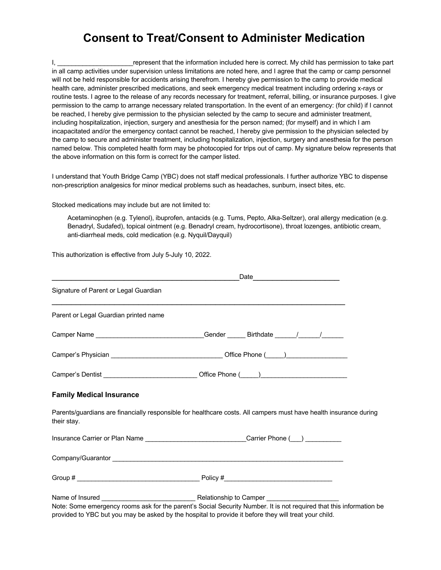### **Consent to Treat/Consent to Administer Medication**

I, \_\_\_\_\_\_\_\_\_\_\_\_\_\_\_\_\_\_\_\_\_\_\_\_\_\_\_\_\_represent that the information included here is correct. My child has permission to take part in all camp activities under supervision unless limitations are noted here, and I agree that the camp or camp personnel will not be held responsible for accidents arising therefrom. I hereby give permission to the camp to provide medical health care, administer prescribed medications, and seek emergency medical treatment including ordering x-rays or routine tests. I agree to the release of any records necessary for treatment, referral, billing, or insurance purposes. I give permission to the camp to arrange necessary related transportation. In the event of an emergency: (for child) if I cannot be reached, I hereby give permission to the physician selected by the camp to secure and administer treatment, including hospitalization, injection, surgery and anesthesia for the person named; (for myself) and in which I am incapacitated and/or the emergency contact cannot be reached, I hereby give permission to the physician selected by the camp to secure and administer treatment, including hospitalization, injection, surgery and anesthesia for the person named below. This completed health form may be photocopied for trips out of camp. My signature below represents that the above information on this form is correct for the camper listed.

I understand that Youth Bridge Camp (YBC) does not staff medical professionals. I further authorize YBC to dispense non-prescription analgesics for minor medical problems such as headaches, sunburn, insect bites, etc.

Stocked medications may include but are not limited to:

Acetaminophen (e.g. Tylenol), ibuprofen, antacids (e.g. Tums, Pepto, Alka-Seltzer), oral allergy medication (e.g. Benadryl, Sudafed), topical ointment (e.g. Benadryl cream, hydrocortisone), throat lozenges, antibiotic cream, anti-diarrheal meds, cold medication (e.g. Nyquil/Dayquil)

This authorization is effective from July 5-July 10, 2022.

|                                       | Date <u>__________________________</u>                                                                                                                                                                                       |  |
|---------------------------------------|------------------------------------------------------------------------------------------------------------------------------------------------------------------------------------------------------------------------------|--|
| Signature of Parent or Legal Guardian |                                                                                                                                                                                                                              |  |
| Parent or Legal Guardian printed name |                                                                                                                                                                                                                              |  |
|                                       |                                                                                                                                                                                                                              |  |
|                                       |                                                                                                                                                                                                                              |  |
|                                       | Camper's Dentist _________________________________Office Phone (_____)______________________________                                                                                                                         |  |
| <b>Family Medical Insurance</b>       |                                                                                                                                                                                                                              |  |
| their stay.                           | Parents/guardians are financially responsible for healthcare costs. All campers must have health insurance during                                                                                                            |  |
|                                       | Insurance Carrier or Plan Name ______________________________Carrier Phone (__) ___________                                                                                                                                  |  |
|                                       |                                                                                                                                                                                                                              |  |
|                                       |                                                                                                                                                                                                                              |  |
|                                       | Note: Some emergency rooms ask for the parent's Social Security Number. It is not required that this information be<br>provided to YBC but you may be asked by the hospital to provide it before they will treat your child. |  |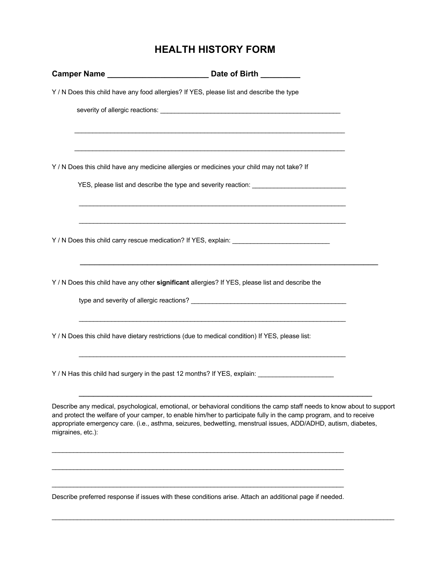### **HEALTH HISTORY FORM**

|                   | Y / N Does this child have any food allergies? If YES, please list and describe the type                                                                                                                                                                                                                                                                       |  |
|-------------------|----------------------------------------------------------------------------------------------------------------------------------------------------------------------------------------------------------------------------------------------------------------------------------------------------------------------------------------------------------------|--|
|                   |                                                                                                                                                                                                                                                                                                                                                                |  |
|                   | <u> 1989 - Johann Stoff, amerikansk politiker (d. 1989)</u>                                                                                                                                                                                                                                                                                                    |  |
|                   | Y / N Does this child have any medicine allergies or medicines your child may not take? If                                                                                                                                                                                                                                                                     |  |
|                   | YES, please list and describe the type and severity reaction: ___________________                                                                                                                                                                                                                                                                              |  |
|                   |                                                                                                                                                                                                                                                                                                                                                                |  |
|                   | Y / N Does this child have any other significant allergies? If YES, please list and describe the                                                                                                                                                                                                                                                               |  |
|                   |                                                                                                                                                                                                                                                                                                                                                                |  |
|                   | Y / N Does this child have dietary restrictions (due to medical condition) If YES, please list:                                                                                                                                                                                                                                                                |  |
|                   | Y / N Has this child had surgery in the past 12 months? If YES, explain: __________________________                                                                                                                                                                                                                                                            |  |
| migraines, etc.): | Describe any medical, psychological, emotional, or behavioral conditions the camp staff needs to know about to support<br>and protect the welfare of your camper, to enable him/her to participate fully in the camp program, and to receive<br>appropriate emergency care. (i.e., asthma, seizures, bedwetting, menstrual issues, ADD/ADHD, autism, diabetes, |  |
|                   |                                                                                                                                                                                                                                                                                                                                                                |  |

Describe preferred response if issues with these conditions arise. Attach an additional page if needed.

 $\mathcal{L}_\mathcal{L} = \{ \mathcal{L}_\mathcal{L} = \{ \mathcal{L}_\mathcal{L} = \{ \mathcal{L}_\mathcal{L} = \{ \mathcal{L}_\mathcal{L} = \{ \mathcal{L}_\mathcal{L} = \{ \mathcal{L}_\mathcal{L} = \{ \mathcal{L}_\mathcal{L} = \{ \mathcal{L}_\mathcal{L} = \{ \mathcal{L}_\mathcal{L} = \{ \mathcal{L}_\mathcal{L} = \{ \mathcal{L}_\mathcal{L} = \{ \mathcal{L}_\mathcal{L} = \{ \mathcal{L}_\mathcal{L} = \{ \mathcal{L}_\mathcal{$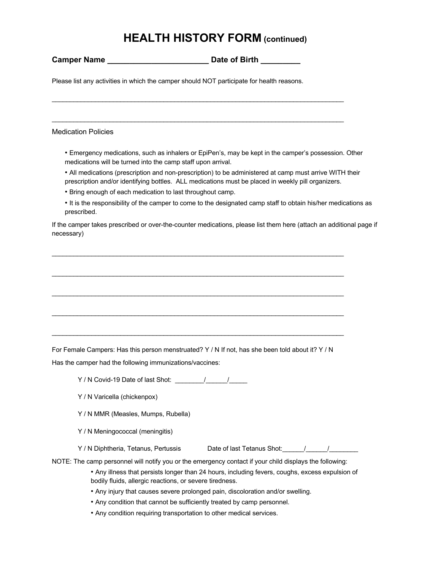### **HEALTH HISTORY FORM (continued)**

**Camper Name Campair 1 Campair 1 Campair 1 Campair 1 Campair 1 Campair 1 Campair 1 Campair 1 Campair 1 Campair 1 Campair 1 Campair 1 Campair 1 Campair 1 Campair 1 Campair 1 Campair 1 Ca** 

Please list any activities in which the camper should NOT participate for health reasons.

\_\_\_\_\_\_\_\_\_\_\_\_\_\_\_\_\_\_\_\_\_\_\_\_\_\_\_\_\_\_\_\_\_\_\_\_\_\_\_\_\_\_\_\_\_\_\_\_\_\_\_\_\_\_\_\_\_\_\_\_\_\_\_\_\_\_\_\_\_\_\_\_\_\_\_\_\_\_\_\_\_

 $\_$  , and the state of the state of the state of the state of the state of the state of the state of the state of the state of the state of the state of the state of the state of the state of the state of the state of the

Medication Policies

• Emergency medications, such as inhalers or EpiPen's, may be kept in the camper's possession. Other medications will be turned into the camp staff upon arrival.

• All medications (prescription and non-prescription) to be administered at camp must arrive WITH their prescription and/or identifying bottles. ALL medications must be placed in weekly pill organizers.

- Bring enough of each medication to last throughout camp.
- It is the responsibility of the camper to come to the designated camp staff to obtain his/her medications as prescribed.

If the camper takes prescribed or over-the-counter medications, please list them here (attach an additional page if necessary)

 $\_$  , and the state of the state of the state of the state of the state of the state of the state of the state of the state of the state of the state of the state of the state of the state of the state of the state of the

 $\mathcal{L}_\mathcal{L} = \{ \mathcal{L}_\mathcal{L} = \{ \mathcal{L}_\mathcal{L} = \{ \mathcal{L}_\mathcal{L} = \{ \mathcal{L}_\mathcal{L} = \{ \mathcal{L}_\mathcal{L} = \{ \mathcal{L}_\mathcal{L} = \{ \mathcal{L}_\mathcal{L} = \{ \mathcal{L}_\mathcal{L} = \{ \mathcal{L}_\mathcal{L} = \{ \mathcal{L}_\mathcal{L} = \{ \mathcal{L}_\mathcal{L} = \{ \mathcal{L}_\mathcal{L} = \{ \mathcal{L}_\mathcal{L} = \{ \mathcal{L}_\mathcal{$ 

 $\_$  , and the state of the state of the state of the state of the state of the state of the state of the state of the state of the state of the state of the state of the state of the state of the state of the state of the

 $\_$  , and the state of the state of the state of the state of the state of the state of the state of the state of the state of the state of the state of the state of the state of the state of the state of the state of the

 $\_$  , and the state of the state of the state of the state of the state of the state of the state of the state of the state of the state of the state of the state of the state of the state of the state of the state of the

For Female Campers: Has this person menstruated? Y / N If not, has she been told about it? Y / N

Has the camper had the following immunizations/vaccines:

- Y / N Covid-19 Date of last Shot: \_\_\_\_\_\_\_\_/\_\_\_\_\_\_/\_\_\_\_\_
- Y / N Varicella (chickenpox)
- Y / N MMR (Measles, Mumps, Rubella)
- Y / N Meningococcal (meningitis)

| Y / N Diphtheria, Tetanus, Pertussis | Date of last Tetanus Shot: |  |
|--------------------------------------|----------------------------|--|
|                                      |                            |  |

NOTE: The camp personnel will notify you or the emergency contact if your child displays the following:

- Any illness that persists longer than 24 hours, including fevers, coughs, excess expulsion of bodily fluids, allergic reactions, or severe tiredness.
- Any injury that causes severe prolonged pain, discoloration and/or swelling.
- Any condition that cannot be sufficiently treated by camp personnel.
- Any condition requiring transportation to other medical services.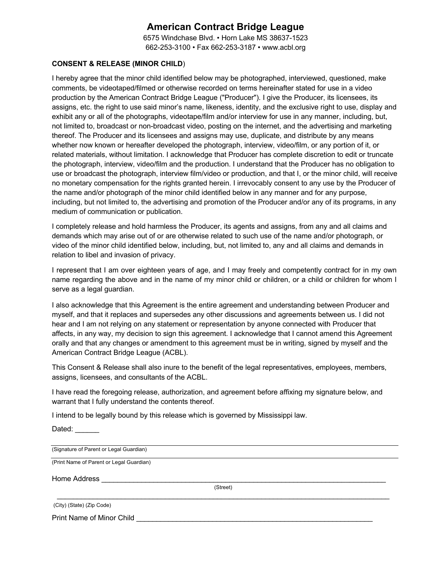### **American Contract Bridge League**

6575 Windchase Blvd. • Horn Lake MS 38637-1523 662-253-3100 • Fax 662-253-3187 • www.acbl.org

#### **CONSENT & RELEASE (MINOR CHILD**)

I hereby agree that the minor child identified below may be photographed, interviewed, questioned, make comments, be videotaped/filmed or otherwise recorded on terms hereinafter stated for use in a video production by the American Contract Bridge League ("Producer"). I give the Producer, its licensees, its assigns, etc. the right to use said minor's name, likeness, identity, and the exclusive right to use, display and exhibit any or all of the photographs, videotape/film and/or interview for use in any manner, including, but, not limited to, broadcast or non-broadcast video, posting on the internet, and the advertising and marketing thereof. The Producer and its licensees and assigns may use, duplicate, and distribute by any means whether now known or hereafter developed the photograph, interview, video/film, or any portion of it, or related materials, without limitation. I acknowledge that Producer has complete discretion to edit or truncate the photograph, interview, video/film and the production. I understand that the Producer has no obligation to use or broadcast the photograph, interview film/video or production, and that I, or the minor child, will receive no monetary compensation for the rights granted herein. I irrevocably consent to any use by the Producer of the name and/or photograph of the minor child identified below in any manner and for any purpose, including, but not limited to, the advertising and promotion of the Producer and/or any of its programs, in any medium of communication or publication.

I completely release and hold harmless the Producer, its agents and assigns, from any and all claims and demands which may arise out of or are otherwise related to such use of the name and/or photograph, or video of the minor child identified below, including, but, not limited to, any and all claims and demands in relation to libel and invasion of privacy.

I represent that I am over eighteen years of age, and I may freely and competently contract for in my own name regarding the above and in the name of my minor child or children, or a child or children for whom I serve as a legal guardian.

I also acknowledge that this Agreement is the entire agreement and understanding between Producer and myself, and that it replaces and supersedes any other discussions and agreements between us. I did not hear and I am not relying on any statement or representation by anyone connected with Producer that affects, in any way, my decision to sign this agreement. I acknowledge that I cannot amend this Agreement orally and that any changes or amendment to this agreement must be in writing, signed by myself and the American Contract Bridge League (ACBL).

This Consent & Release shall also inure to the benefit of the legal representatives, employees, members, assigns, licensees, and consultants of the ACBL.

I have read the foregoing release, authorization, and agreement before affixing my signature below, and warrant that I fully understand the contents thereof.

I intend to be legally bound by this release which is governed by Mississippi law.

Dated: \_\_\_\_\_

(Signature of Parent or Legal Guardian)

(Print Name of Parent or Legal Guardian)

Home Address

(Street)  $\mathcal{L}_\mathcal{L} = \{ \mathcal{L}_\mathcal{L} = \{ \mathcal{L}_\mathcal{L} = \{ \mathcal{L}_\mathcal{L} = \{ \mathcal{L}_\mathcal{L} = \{ \mathcal{L}_\mathcal{L} = \{ \mathcal{L}_\mathcal{L} = \{ \mathcal{L}_\mathcal{L} = \{ \mathcal{L}_\mathcal{L} = \{ \mathcal{L}_\mathcal{L} = \{ \mathcal{L}_\mathcal{L} = \{ \mathcal{L}_\mathcal{L} = \{ \mathcal{L}_\mathcal{L} = \{ \mathcal{L}_\mathcal{L} = \{ \mathcal{L}_\mathcal{$ 

| (City) (State) (Zip Code) |  |  |
|---------------------------|--|--|
|---------------------------|--|--|

Print Name of Minor Child **With American Child Report Figure 2014**